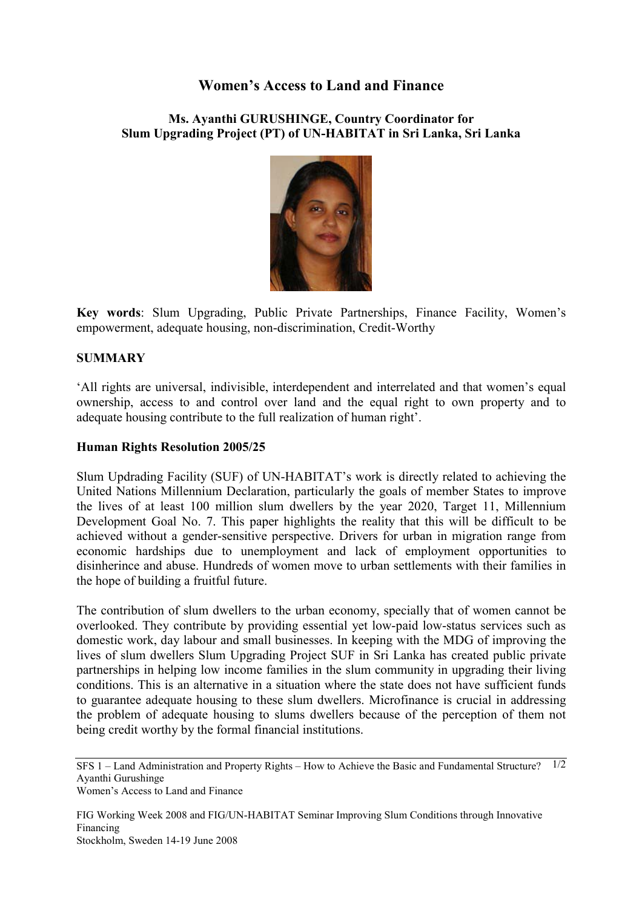# **Women's Access to Land and Finance**

**Ms. Ayanthi GURUSHINGE, Country Coordinator for Slum Upgrading Project (PT) of UN-HABITAT in Sri Lanka, Sri Lanka** 



**Key words**: Slum Upgrading, Public Private Partnerships, Finance Facility, Women's empowerment, adequate housing, non-discrimination, Credit-Worthy

### **SUMMARY**

'All rights are universal, indivisible, interdependent and interrelated and that women's equal ownership, access to and control over land and the equal right to own property and to adequate housing contribute to the full realization of human right'.

#### **Human Rights Resolution 2005/25**

Slum Updrading Facility (SUF) of UN-HABITAT's work is directly related to achieving the United Nations Millennium Declaration, particularly the goals of member States to improve the lives of at least 100 million slum dwellers by the year 2020, Target 11, Millennium Development Goal No. 7. This paper highlights the reality that this will be difficult to be achieved without a gender-sensitive perspective. Drivers for urban in migration range from economic hardships due to unemployment and lack of employment opportunities to disinherince and abuse. Hundreds of women move to urban settlements with their families in the hope of building a fruitful future.

The contribution of slum dwellers to the urban economy, specially that of women cannot be overlooked. They contribute by providing essential yet low-paid low-status services such as domestic work, day labour and small businesses. In keeping with the MDG of improving the lives of slum dwellers Slum Upgrading Project SUF in Sri Lanka has created public private partnerships in helping low income families in the slum community in upgrading their living conditions. This is an alternative in a situation where the state does not have sufficient funds to guarantee adequate housing to these slum dwellers. Microfinance is crucial in addressing the problem of adequate housing to slums dwellers because of the perception of them not being credit worthy by the formal financial institutions.

SFS 1 – Land Administration and Property Rights – How to Achieve the Basic and Fundamental Structure? 1/2 Ayanthi Gurushinge Women's Access to Land and Finance

FIG Working Week 2008 and FIG/UN-HABITAT Seminar Improving Slum Conditions through Innovative Financing Stockholm, Sweden 14-19 June 2008